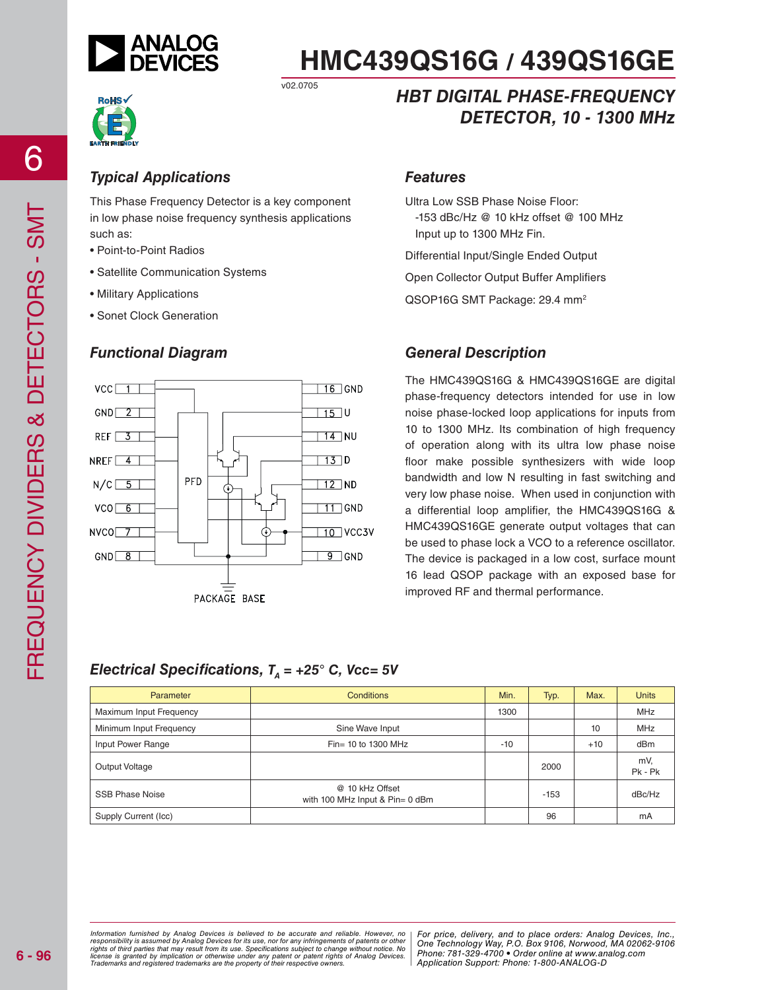

## *Typical Applications*

This Phase Frequency Detector is a key component in low phase noise frequency synthesis applications such as:

v02.0705

- Point-to-Point Radios
- Satellite Communication Systems
- Military Applications
- Sonet Clock Generation

#### *Functional Diagram*



## *HBT DIGITAL PHASE-FREQUENCY DETECTOR, 10 - 1300 MHz*

#### *Features*

Ultra Low SSB Phase Noise Floor:

 -153 dBc/Hz @ 10 kHz offset @ 100 MHz Input up to 1300 MHz Fin.

Differential Input/Single Ended Output

Open Collector Output Buffer Amplifiers

QSOP16G SMT Package: 29.4 mm<sup>2</sup>

#### *General Description*

The HMC439QS16G & HMC439QS16GE are digital phase-frequency detectors intended for use in low noise phase-locked loop applications for inputs from 10 to 1300 MHz. Its combination of high frequency of operation along with its ultra low phase noise floor make possible synthesizers with wide loop bandwidth and low N resulting in fast switching and very low phase noise. When used in conjunction with a differential loop amplifier, the HMC439QS16G & HMC439QS16GE generate output voltages that can be used to phase lock a VCO to a reference oscillator. The device is packaged in a low cost, surface mount 16 lead QSOP package with an exposed base for improved RF and thermal performance.

#### *Electrical Specifications,*  $T<sub>A</sub> = +25$ *° C, Vcc= 5V*

| Parameter               | <b>Conditions</b>                                  | Min.  | Typ.   | Max.  | <b>Units</b>   |
|-------------------------|----------------------------------------------------|-------|--------|-------|----------------|
| Maximum Input Frequency |                                                    | 1300  |        |       | <b>MHz</b>     |
| Minimum Input Frequency | Sine Wave Input                                    |       |        | 10    | <b>MHz</b>     |
| Input Power Range       | Fin= 10 to 1300 MHz                                | $-10$ |        | $+10$ | dBm            |
| Output Voltage          |                                                    |       | 2000   |       | mV.<br>Pk - Pk |
| <b>SSB Phase Noise</b>  | @ 10 kHz Offset<br>with 100 MHz Input & Pin= 0 dBm |       | $-153$ |       | dBc/Hz         |
| Supply Current (Icc)    |                                                    |       | 96     |       | mA             |

ed by Analog Devices is believed to be accurate and reliable. However, no [For price, delivery, and to place orders: Analog<br>umed by Analog Devices for its use nor for any infringements of patents or other [One Technologu W at may result from its use. Specifications subject to change without notice. No<br>polication or otherwise under any patent or patent rights of Analog Devices Phone: 781-329-4700 • Order online at www.a spective owners.  $\blacksquare$  Application S *Information furnished by Analog Devices is believed to be accurate and reliable. However, no*  responsibility is assumed by Analog Devices for its use, nor for any infringements of patents or other<br>rights of third parties that may result from its use. Specifications subject to change without notice. No<br>license is gr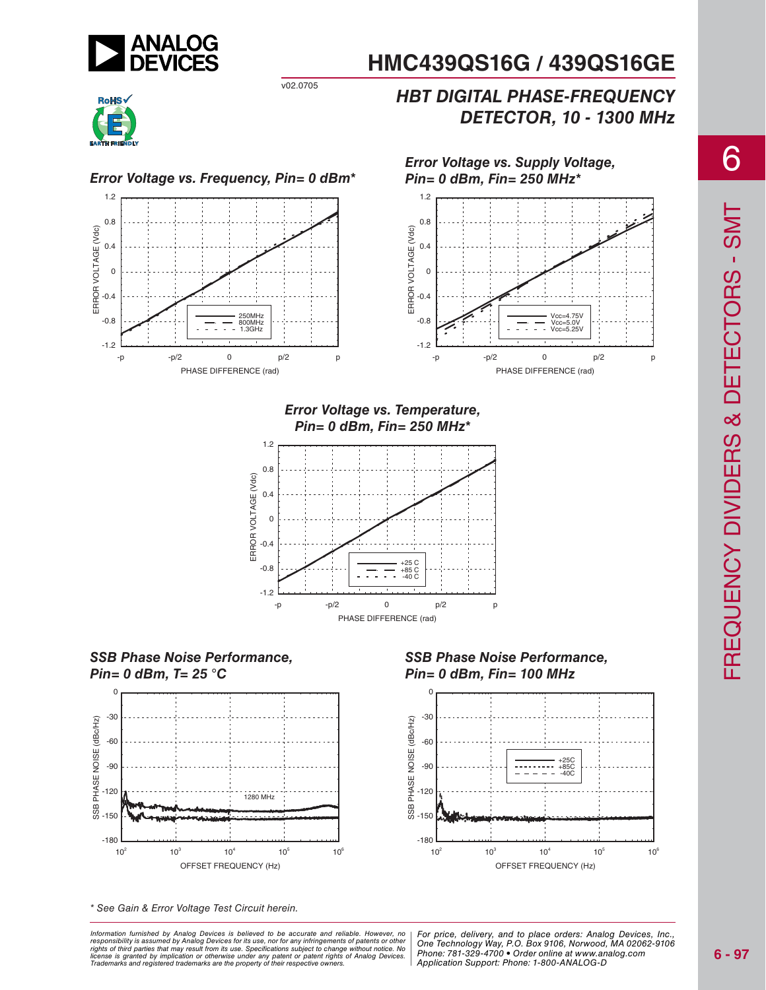

*Error Voltage vs. Supply Voltage, Pin= 0 dBm, Fin= 250 MHz\**

## *HBT DIGITAL PHASE-FREQUENCY DETECTOR, 10 - 1300 MHz*



*Error Voltage vs. Frequency, Pin= 0 dBm\** 1.2



v02.0705



*Error Voltage vs. Temperature, Pin= 0 dBm, Fin= 250 MHz\**







\* See Gain & Error Voltage Test Circuit herein.

at may result from its use. Specifications subject to change without notice. No<br>polication or otherwise under any patent or patent rights of Analog Devices Phone: 781-329-4700 • Order online at www.a spective owners.  $\blacksquare$  Application S *Information furnished by Analog Devices is believed to be accurate and reliable. However, no*  responsibility is assumed by Analog Devices for its use, nor for any infringements of patents or other<br>rights of third parties that may result from its use. Specifications subject to change without notice. No<br>license is gr





6

ed by Analog Devices is believed to be accurate and reliable. However, no | For price, delivery, and to place orders: Analog Devices, Inc.,<br>umed by Analog Devices for its use, not for any infringements of patents or other *Phone: 781-329-4700 • Order online at www.analog.com Application Support: Phone: 1-800-ANALOG-D*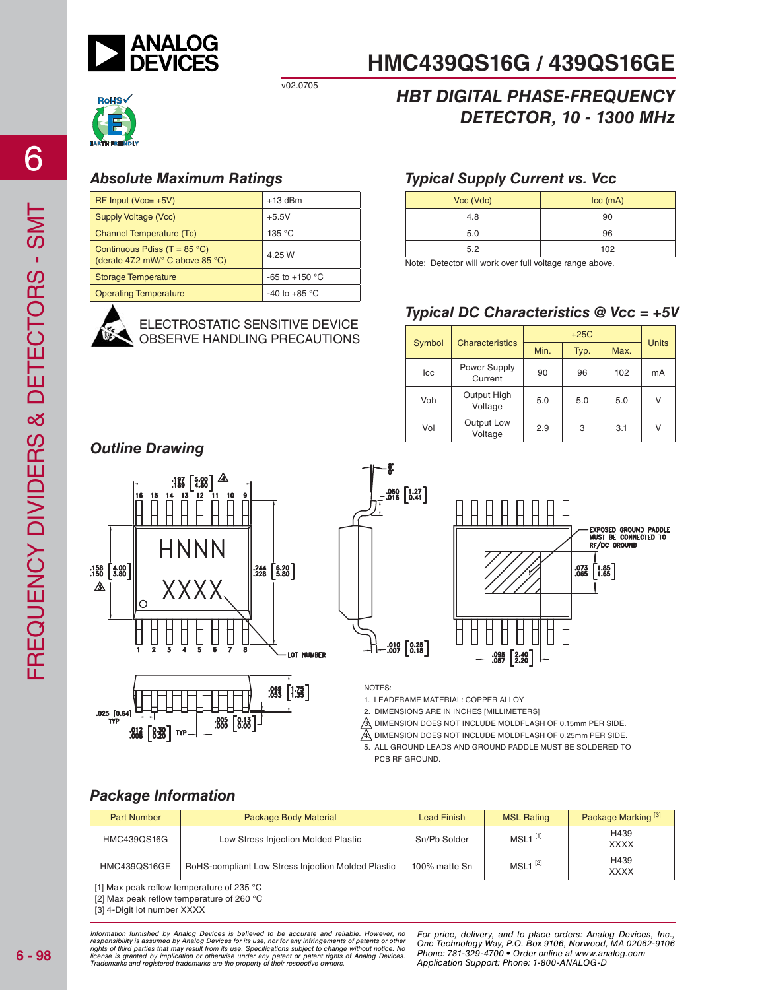

v02.0705



## *HBT DIGITAL PHASE-FREQUENCY DETECTOR, 10 - 1300 MHz*

**HMC439QS16G / 439QS16GE**

## *Absolute Maximum Ratings*

| $RF$ Input (Vcc= $+5V$ )                                                                    | $+13$ dBm                |
|---------------------------------------------------------------------------------------------|--------------------------|
| Supply Voltage (Vcc)                                                                        | $+5.5V$                  |
| <b>Channel Temperature (Tc)</b>                                                             | 135 °C                   |
| Continuous Pdiss (T = $85^{\circ}$ C)<br>(derate 47.2 mW/ $\degree$ C above 85 $\degree$ C) | 4.25 W                   |
| <b>Storage Temperature</b>                                                                  | -65 to +150 $^{\circ}$ C |
| <b>Operating Temperature</b>                                                                | -40 to +85 $\degree$ C   |



ELECTROSTATIC SENSITIVE DEVICE OBSERVE HANDLING PRECAUTIONS

## *Typical Supply Current vs. Vcc*

| Vcc (Vdc) | $ cc$ (mA) |
|-----------|------------|
| 4.8       | 90         |
| 5.0       | 96         |
| 5.2       | 102        |

Note: Detector will work over full voltage range above.

## *Typical DC Characteristics @ Vcc = +5V*

|        | <b>Characteristics</b>  | $+25C$ |      |      | <b>Units</b> |
|--------|-------------------------|--------|------|------|--------------|
| Symbol |                         | Min.   | Typ. | Max. |              |
| Icc    | Power Supply<br>Current | 90     | 96   | 102  | mA           |
| Voh    | Output High<br>Voltage  | 5.0    | 5.0  | 5.0  | V            |
| Vol    | Output Low<br>Voltage   | 2.9    | 3    | 3.1  | V            |

## *Outline Drawing*









NOTES:

1. LEADFRAME MATERIAL: COPPER ALLOY

2. DIMENSIONS ARE IN INCHES [MILLIMETERS]

 $\hat{\beta}$  DIMENSION DOES NOT INCLUDE MOLDFLASH OF 0.15mm PER SIDE.

 $\mathbb{A}$  DIMENSION DOES NOT INCLUDE MOLDFLASH OF 0.25mm PER SIDE.

5. ALL GROUND LEADS AND GROUND PADDLE MUST BE SOLDERED TO PCB RF GROUND

## *Package Information*

| <b>Part Number</b> | Package Body Material                              | <b>Lead Finish</b> | <b>MSL Rating</b>     | Package Marking <sup>[3]</sup> |
|--------------------|----------------------------------------------------|--------------------|-----------------------|--------------------------------|
| HMC439QS16G        | Low Stress Injection Molded Plastic                | Sn/Pb Solder       | $MSL1$ <sup>[1]</sup> | H439<br><b>XXXX</b>            |
| HMC439QS16GE       | RoHS-compliant Low Stress Injection Molded Plastic | 100% matte Sn      | $MSL1$ <sup>[2]</sup> | H439<br><b>XXXX</b>            |

[1] Max peak reflow temperature of 235 °C

[2] Max peak reflow temperature of 260 °C

[3] 4-Digit lot number XXXX

ed by Analog Devices is believed to be accurate and reliable. However, no [For price, delivery, and to place orders: Analog<br>umed by Analog Devices for its use nor for any infringements of patents or other [One Technologu W at may result from its use. Specifications subject to change without notice. No<br>polication or otherwise under any patent or patent rights of Analog Devices Phone: 781-329-4700 • Order online at www.a spective owners.  $\blacksquare$  Application S Information furnished by Analog Devices is believed to be accurate and reliable. However, no<br>responsibility is assumed by Analog Devices for its use, nor for any infringements of patents or other<br>rights of third parties th

*For price, delivery, and to place orders: Analog Devices, Inc., One Technology Way, P.O. Box 9106, Norwood, MA 02062-9106 Phone: 781-329-4700 • Order online at www.analog.com Application Support: Phone: 1-800-ANALOG-D*

6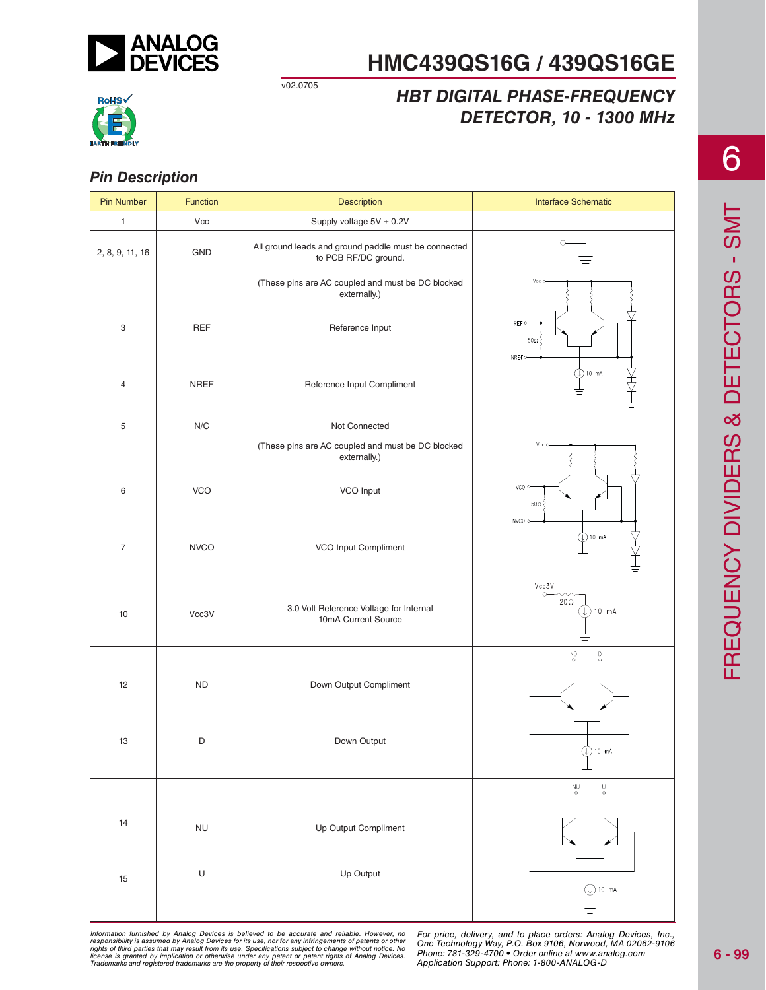

v02.0705

## *HBT DIGITAL PHASE-FREQUENCY DETECTOR, 10 - 1300 MHz*



#### *Pin Description*

| <b>Pin Number</b> | Function    | Description                                                                          | <b>Interface Schematic</b>                     |
|-------------------|-------------|--------------------------------------------------------------------------------------|------------------------------------------------|
| $\mathbf{1}$      | Vcc         | Supply voltage $5V \pm 0.2V$                                                         |                                                |
| 2, 8, 9, 11, 16   | GND         | All ground leads and ground paddle must be connected<br>to PCB RF/DC ground.         | $\circ$                                        |
| 3                 | <b>REF</b>  | (These pins are AC coupled and must be DC blocked<br>externally.)<br>Reference Input | Vcc o<br><b>REFO</b><br>$50\Omega$<br>NREF o   |
| 4                 | <b>NREF</b> | Reference Input Compliment                                                           | $①$ 10 mA                                      |
| 5                 | N/C         | Not Connected                                                                        |                                                |
|                   |             | (These pins are AC coupled and must be DC blocked<br>externally.)                    | Vcc o-                                         |
| 6                 | <b>VCO</b>  | VCO Input                                                                            | VCO O<br>50 $\Omega$<br>NVCO o-                |
| $\overline{7}$    | <b>NVCO</b> | VCO Input Compliment                                                                 | $\circledcirc$ 10 mA                           |
| 10                | Vcc3V       | 3.0 Volt Reference Voltage for Internal<br>10mA Current Source                       | Vcc3V<br>$\circ$<br>$20\Omega$<br>10 mA<br>J., |
| 12                | <b>ND</b>   | Down Output Compliment                                                               | ΝD<br>D                                        |
| 13                | D           | Down Output                                                                          | $\bigcirc$ 10 mA                               |
| 14                | NU          | Up Output Compliment                                                                 | NU<br>Q<br>$\frac{0}{9}$                       |
| 15                | $\cup$      | Up Output                                                                            | 10 mA<br>Y)                                    |

6

ed by Analog Devices is believed to be accurate and reliable. However, no [For price, delivery, and to place orders: Analog<br>umed by Analog Devices for its use nor for any infringements of patents or other [One Technologu W at may result from its use. Specifications subject to change without notice. No<br>polication or otherwise under any patent or patent rights of Analog Devices Phone: 781-329-4700 • Order online at www.a spective owners.  $\blacksquare$  Application S Information furnished by Analog Devices is believed to be accurate and reliable. However, no<br>responsibility is assumed by Analog Devices for its use, nor for any infringements of patents or other<br>rights of third parties th

*For price, delivery, and to place orders: Analog Devices, Inc., One Technology Way, P.O. Box 9106, Norwood, MA 02062-9106 Phone: 781-329-4700 • Order online at www.analog.com Application Support: Phone: 1-800-ANALOG-D*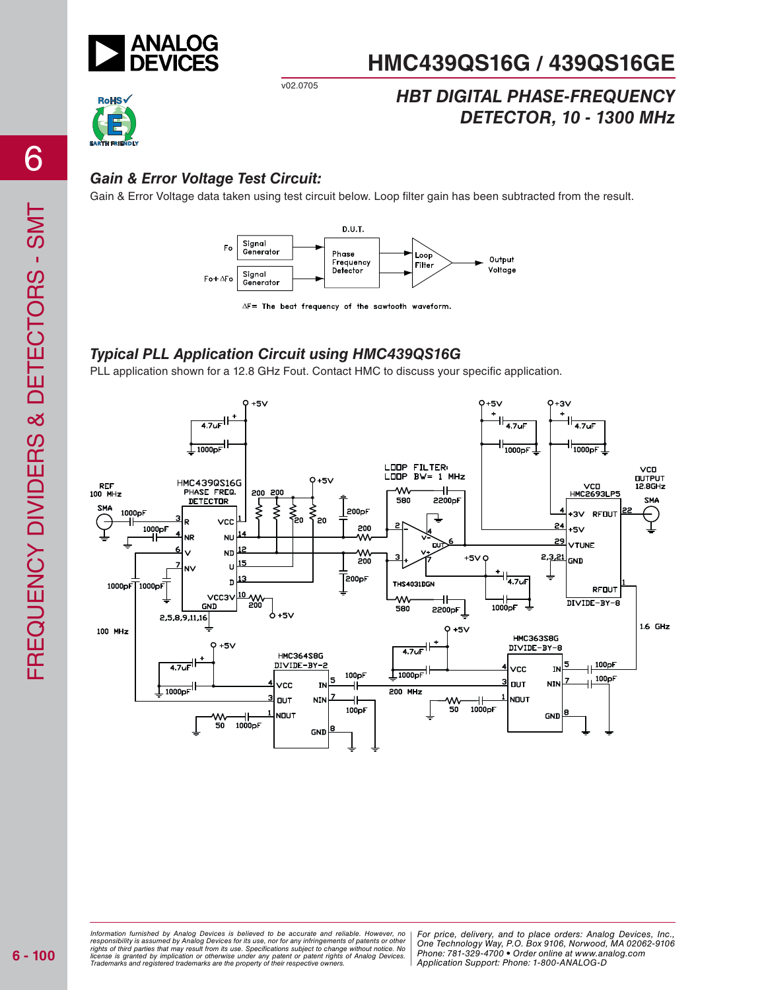

## *HBT DIGITAL PHASE-FREQUENCY DETECTOR, 10 - 1300 MHz*

## *Gain & Error Voltage Test Circuit:*

Gain & Error Voltage data taken using test circuit below. Loop filter gain has been subtracted from the result.



 $\Delta F$  = The beat frequency of the sawtooth waveform.

## *Typical PLL Application Circuit using HMC439QS16G*

v02.0705

PLL application shown for a 12.8 GHz Fout. Contact HMC to discuss your specific application.



ed by Analog Devices is believed to be accurate and reliable. However, no [For price, delivery, and to place orders: Analog<br>umed by Analog Devices for its use nor for any infringements of patents or other [One Technologu W at may result from its use. Specifications subject to change without notice. No<br>polication or otherwise under any patent or patent rights of Analog Devices Phone: 781-329-4700 • Order online at www.a spective owners.  $\blacksquare$  Application S *Information furnished by Analog Devices is believed to be accurate and reliable. However, no*  responsibility is assumed by Analog Devices for its use, nor for any infringements of patents or other<br>rights of third parties that may result from its use. Specifications subject to change without notice. No<br>license is gr

*For price, delivery, and to place orders: Analog Devices, Inc., One Technology Way, P.O. Box 9106, Norwood, MA 02062-9106 Phone: 781-329-4700 • Order online at www.analog.com Application Support: Phone: 1-800-ANALOG-D*